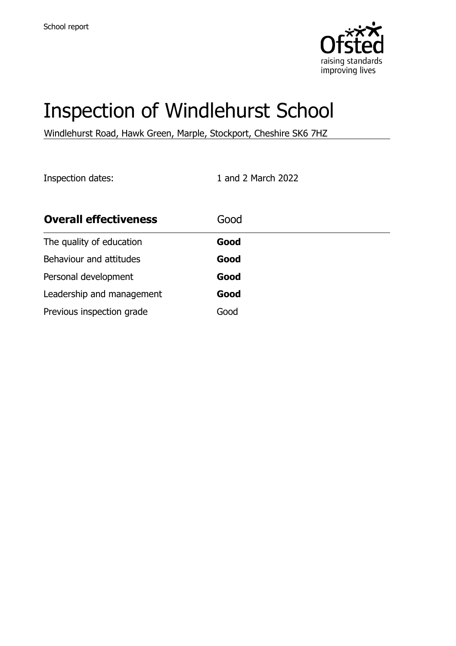

# Inspection of Windlehurst School

Windlehurst Road, Hawk Green, Marple, Stockport, Cheshire SK6 7HZ

Inspection dates: 1 and 2 March 2022

| <b>Overall effectiveness</b> | Good |
|------------------------------|------|
| The quality of education     | Good |
| Behaviour and attitudes      | Good |
| Personal development         | Good |
| Leadership and management    | Good |
| Previous inspection grade    | Good |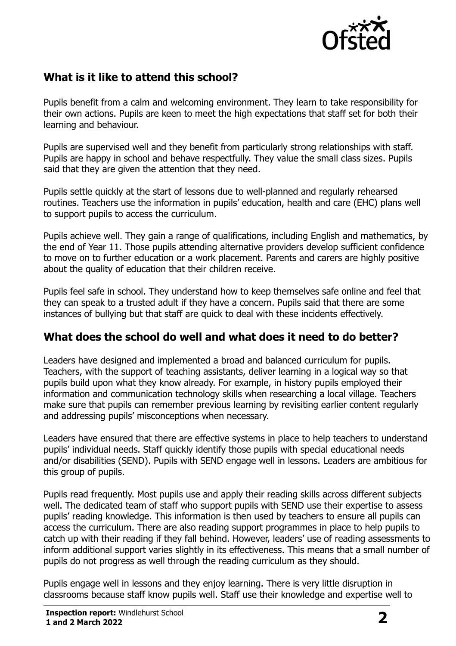

## **What is it like to attend this school?**

Pupils benefit from a calm and welcoming environment. They learn to take responsibility for their own actions. Pupils are keen to meet the high expectations that staff set for both their learning and behaviour.

Pupils are supervised well and they benefit from particularly strong relationships with staff. Pupils are happy in school and behave respectfully. They value the small class sizes. Pupils said that they are given the attention that they need.

Pupils settle quickly at the start of lessons due to well-planned and regularly rehearsed routines. Teachers use the information in pupils' education, health and care (EHC) plans well to support pupils to access the curriculum.

Pupils achieve well. They gain a range of qualifications, including English and mathematics, by the end of Year 11. Those pupils attending alternative providers develop sufficient confidence to move on to further education or a work placement. Parents and carers are highly positive about the quality of education that their children receive.

Pupils feel safe in school. They understand how to keep themselves safe online and feel that they can speak to a trusted adult if they have a concern. Pupils said that there are some instances of bullying but that staff are quick to deal with these incidents effectively.

### **What does the school do well and what does it need to do better?**

Leaders have designed and implemented a broad and balanced curriculum for pupils. Teachers, with the support of teaching assistants, deliver learning in a logical way so that pupils build upon what they know already. For example, in history pupils employed their information and communication technology skills when researching a local village. Teachers make sure that pupils can remember previous learning by revisiting earlier content regularly and addressing pupils' misconceptions when necessary.

Leaders have ensured that there are effective systems in place to help teachers to understand pupils' individual needs. Staff quickly identify those pupils with special educational needs and/or disabilities (SEND). Pupils with SEND engage well in lessons. Leaders are ambitious for this group of pupils.

Pupils read frequently. Most pupils use and apply their reading skills across different subjects well. The dedicated team of staff who support pupils with SEND use their expertise to assess pupils' reading knowledge. This information is then used by teachers to ensure all pupils can access the curriculum. There are also reading support programmes in place to help pupils to catch up with their reading if they fall behind. However, leaders' use of reading assessments to inform additional support varies slightly in its effectiveness. This means that a small number of pupils do not progress as well through the reading curriculum as they should.

Pupils engage well in lessons and they enjoy learning. There is very little disruption in classrooms because staff know pupils well. Staff use their knowledge and expertise well to

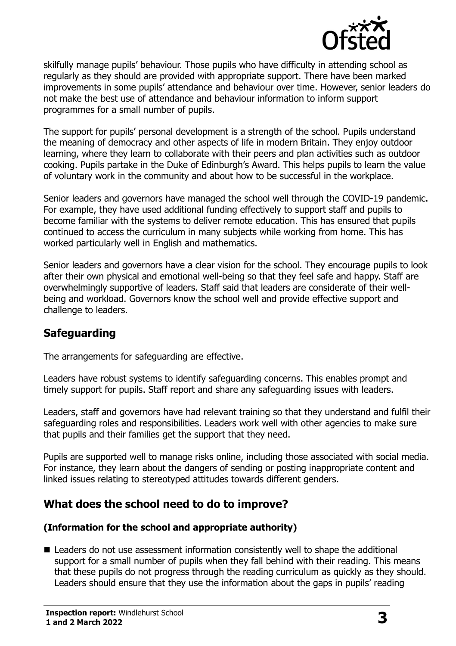

skilfully manage pupils' behaviour. Those pupils who have difficulty in attending school as regularly as they should are provided with appropriate support. There have been marked improvements in some pupils' attendance and behaviour over time. However, senior leaders do not make the best use of attendance and behaviour information to inform support programmes for a small number of pupils.

The support for pupils' personal development is a strength of the school. Pupils understand the meaning of democracy and other aspects of life in modern Britain. They enjoy outdoor learning, where they learn to collaborate with their peers and plan activities such as outdoor cooking. Pupils partake in the Duke of Edinburgh's Award. This helps pupils to learn the value of voluntary work in the community and about how to be successful in the workplace.

Senior leaders and governors have managed the school well through the COVID-19 pandemic. For example, they have used additional funding effectively to support staff and pupils to become familiar with the systems to deliver remote education. This has ensured that pupils continued to access the curriculum in many subjects while working from home. This has worked particularly well in English and mathematics.

Senior leaders and governors have a clear vision for the school. They encourage pupils to look after their own physical and emotional well-being so that they feel safe and happy. Staff are overwhelmingly supportive of leaders. Staff said that leaders are considerate of their wellbeing and workload. Governors know the school well and provide effective support and challenge to leaders.

## **Safeguarding**

The arrangements for safeguarding are effective.

Leaders have robust systems to identify safeguarding concerns. This enables prompt and timely support for pupils. Staff report and share any safeguarding issues with leaders.

Leaders, staff and governors have had relevant training so that they understand and fulfil their safeguarding roles and responsibilities. Leaders work well with other agencies to make sure that pupils and their families get the support that they need.

Pupils are supported well to manage risks online, including those associated with social media. For instance, they learn about the dangers of sending or posting inappropriate content and linked issues relating to stereotyped attitudes towards different genders.

### **What does the school need to do to improve?**

#### **(Information for the school and appropriate authority)**

■ Leaders do not use assessment information consistently well to shape the additional support for a small number of pupils when they fall behind with their reading. This means that these pupils do not progress through the reading curriculum as quickly as they should. Leaders should ensure that they use the information about the gaps in pupils' reading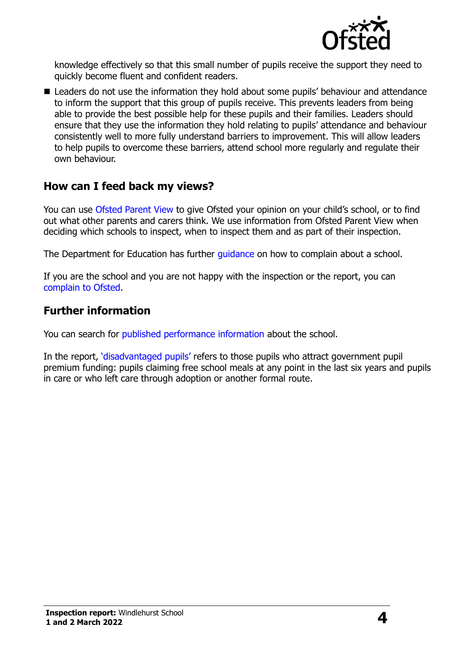

knowledge effectively so that this small number of pupils receive the support they need to quickly become fluent and confident readers.

■ Leaders do not use the information they hold about some pupils' behaviour and attendance to inform the support that this group of pupils receive. This prevents leaders from being able to provide the best possible help for these pupils and their families. Leaders should ensure that they use the information they hold relating to pupils' attendance and behaviour consistently well to more fully understand barriers to improvement. This will allow leaders to help pupils to overcome these barriers, attend school more regularly and regulate their own behaviour.

#### **How can I feed back my views?**

You can use [Ofsted Parent View](http://parentview.ofsted.gov.uk/) to give Ofsted your opinion on your child's school, or to find out what other parents and carers think. We use information from Ofsted Parent View when deciding which schools to inspect, when to inspect them and as part of their inspection.

The Department for Education has further quidance on how to complain about a school.

If you are the school and you are not happy with the inspection or the report, you can [complain to Ofsted.](http://www.gov.uk/complain-ofsted-report)

#### **Further information**

You can search for [published performance information](http://www.compare-school-performance.service.gov.uk/) about the school.

In the report, '[disadvantaged pupils](http://www.gov.uk/guidance/pupil-premium-information-for-schools-and-alternative-provision-settings)' refers to those pupils who attract government pupil premium funding: pupils claiming free school meals at any point in the last six years and pupils in care or who left care through adoption or another formal route.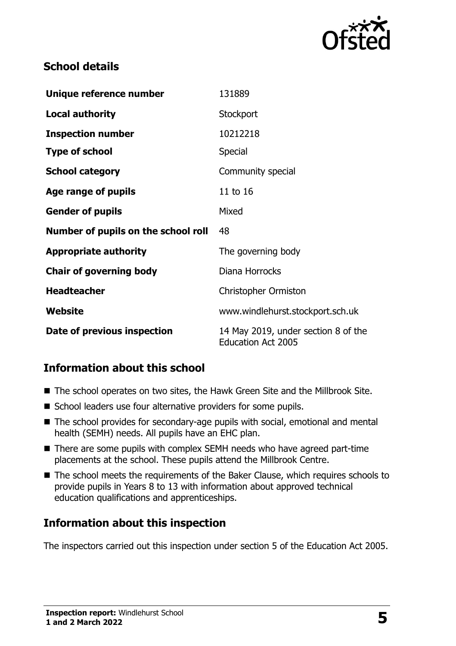

## **School details**

| Unique reference number             | 131889                                                           |
|-------------------------------------|------------------------------------------------------------------|
| <b>Local authority</b>              | Stockport                                                        |
| <b>Inspection number</b>            | 10212218                                                         |
| <b>Type of school</b>               | Special                                                          |
| <b>School category</b>              | Community special                                                |
| Age range of pupils                 | 11 to 16                                                         |
| <b>Gender of pupils</b>             | Mixed                                                            |
| Number of pupils on the school roll | 48                                                               |
| <b>Appropriate authority</b>        | The governing body                                               |
| <b>Chair of governing body</b>      | Diana Horrocks                                                   |
| <b>Headteacher</b>                  | <b>Christopher Ormiston</b>                                      |
| Website                             | www.windlehurst.stockport.sch.uk                                 |
| Date of previous inspection         | 14 May 2019, under section 8 of the<br><b>Education Act 2005</b> |

## **Information about this school**

- The school operates on two sites, the Hawk Green Site and the Millbrook Site.
- School leaders use four alternative providers for some pupils.
- The school provides for secondary-age pupils with social, emotional and mental health (SEMH) needs. All pupils have an EHC plan.
- There are some pupils with complex SEMH needs who have agreed part-time placements at the school. These pupils attend the Millbrook Centre.
- The school meets the requirements of the Baker Clause, which requires schools to provide pupils in Years 8 to 13 with information about approved technical education qualifications and apprenticeships.

## **Information about this inspection**

The inspectors carried out this inspection under section 5 of the Education Act 2005.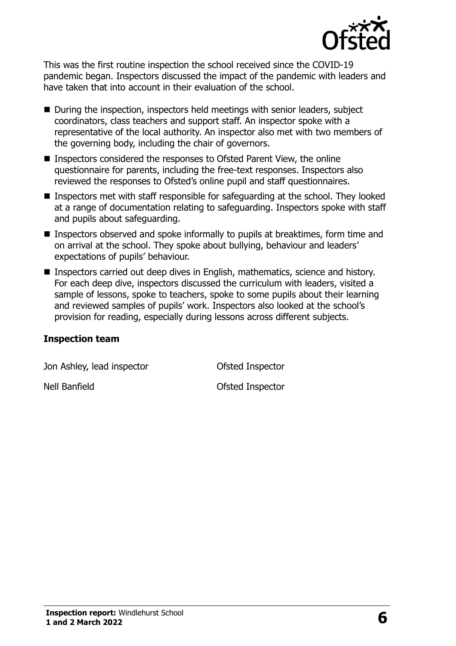

This was the first routine inspection the school received since the COVID-19 pandemic began. Inspectors discussed the impact of the pandemic with leaders and have taken that into account in their evaluation of the school.

- During the inspection, inspectors held meetings with senior leaders, subject coordinators, class teachers and support staff. An inspector spoke with a representative of the local authority. An inspector also met with two members of the governing body, including the chair of governors.
- Inspectors considered the responses to Ofsted Parent View, the online questionnaire for parents, including the free-text responses. Inspectors also reviewed the responses to Ofsted's online pupil and staff questionnaires.
- Inspectors met with staff responsible for safeguarding at the school. They looked at a range of documentation relating to safeguarding. Inspectors spoke with staff and pupils about safeguarding.
- **Inspectors observed and spoke informally to pupils at breaktimes, form time and** on arrival at the school. They spoke about bullying, behaviour and leaders' expectations of pupils' behaviour.
- **Inspectors carried out deep dives in English, mathematics, science and history.** For each deep dive, inspectors discussed the curriculum with leaders, visited a sample of lessons, spoke to teachers, spoke to some pupils about their learning and reviewed samples of pupils' work. Inspectors also looked at the school's provision for reading, especially during lessons across different subjects.

#### **Inspection team**

Jon Ashley, lead inspector **Ofsted Inspector** Nell Banfield **Ofsted Inspector**